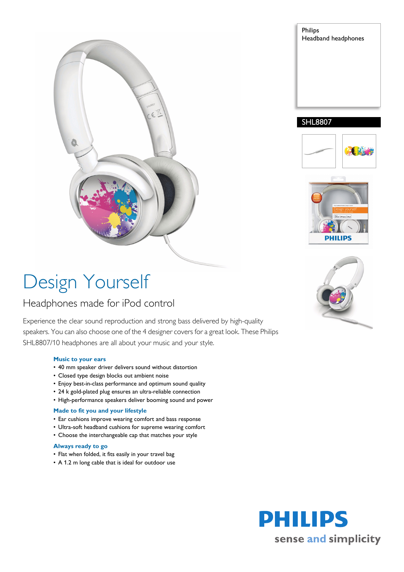

# Philips Headband headphones

### SHL8807





# Design Yourself

## Headphones made for iPod control

Experience the clear sound reproduction and strong bass delivered by high-quality speakers. You can also choose one of the 4 designer covers for a great look. These Philips SHL8807/10 headphones are all about your music and your style.

#### **Music to your ears**

- 40 mm speaker driver delivers sound without distortion
- Closed type design blocks out ambient noise
- Enjoy best-in-class performance and optimum sound quality
- 24 k gold-plated plug ensures an ultra-reliable connection
- High-performance speakers deliver booming sound and power

#### **Made to fit you and your lifestyle**

- Ear cushions improve wearing comfort and bass response
- Ultra-soft headband cushions for supreme wearing comfort
- Choose the interchangeable cap that matches your style

#### **Always ready to go**

- Flat when folded, it fits easily in your travel bag
- A 1.2 m long cable that is ideal for outdoor use